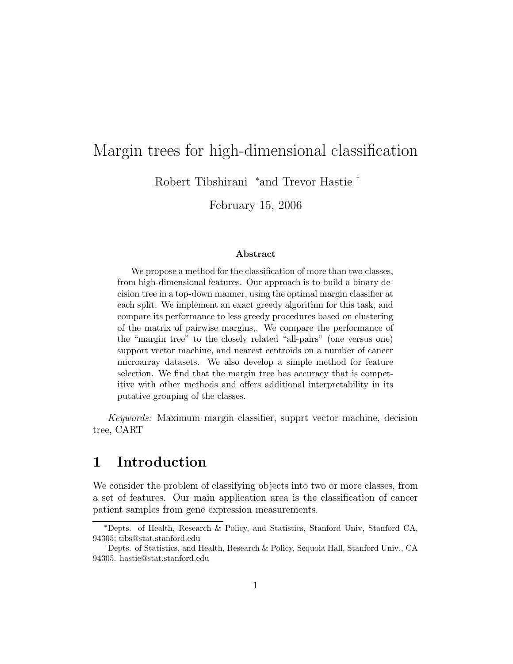# Margin trees for high-dimensional classification

Robert Tibshirani <sup>∗</sup>and Trevor Hastie †

February 15, 2006

#### Abstract

We propose a method for the classification of more than two classes, from high-dimensional features. Our approach is to build a binary decision tree in a top-down manner, using the optimal margin classifier at each split. We implement an exact greedy algorithm for this task, and compare its performance to less greedy procedures based on clustering of the matrix of pairwise margins,. We compare the performance of the "margin tree" to the closely related "all-pairs" (one versus one) support vector machine, and nearest centroids on a number of cancer microarray datasets. We also develop a simple method for feature selection. We find that the margin tree has accuracy that is competitive with other methods and offers additional interpretability in its putative grouping of the classes.

Keywords: Maximum margin classifier, supprt vector machine, decision tree, CART

# 1 Introduction

We consider the problem of classifying objects into two or more classes, from a set of features. Our main application area is the classification of cancer patient samples from gene expression measurements.

<sup>∗</sup>Depts. of Health, Research & Policy, and Statistics, Stanford Univ, Stanford CA, 94305; tibs@stat.stanford.edu

<sup>†</sup>Depts. of Statistics, and Health, Research & Policy, Sequoia Hall, Stanford Univ., CA 94305. hastie@stat.stanford.edu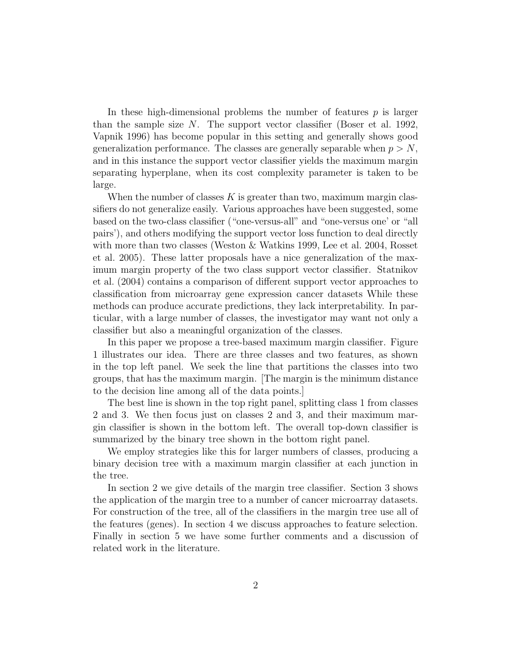In these high-dimensional problems the number of features  $p$  is larger than the sample size  $N$ . The support vector classifier (Boser et al. 1992, Vapnik 1996) has become popular in this setting and generally shows good generalization performance. The classes are generally separable when  $p > N$ , and in this instance the support vector classifier yields the maximum margin separating hyperplane, when its cost complexity parameter is taken to be large.

When the number of classes  $K$  is greater than two, maximum margin classifiers do not generalize easily. Various approaches have been suggested, some based on the two-class classifier ("one-versus-all" and "one-versus one' or "all pairs'), and others modifying the support vector loss function to deal directly with more than two classes (Weston & Watkins 1999, Lee et al. 2004, Rosset et al. 2005). These latter proposals have a nice generalization of the maximum margin property of the two class support vector classifier. Statnikov et al. (2004) contains a comparison of different support vector approaches to classification from microarray gene expression cancer datasets While these methods can produce accurate predictions, they lack interpretability. In particular, with a large number of classes, the investigator may want not only a classifier but also a meaningful organization of the classes.

In this paper we propose a tree-based maximum margin classifier. Figure 1 illustrates our idea. There are three classes and two features, as shown in the top left panel. We seek the line that partitions the classes into two groups, that has the maximum margin. [The margin is the minimum distance to the decision line among all of the data points.]

The best line is shown in the top right panel, splitting class 1 from classes 2 and 3. We then focus just on classes 2 and 3, and their maximum margin classifier is shown in the bottom left. The overall top-down classifier is summarized by the binary tree shown in the bottom right panel.

We employ strategies like this for larger numbers of classes, producing a binary decision tree with a maximum margin classifier at each junction in the tree.

In section 2 we give details of the margin tree classifier. Section 3 shows the application of the margin tree to a number of cancer microarray datasets. For construction of the tree, all of the classifiers in the margin tree use all of the features (genes). In section 4 we discuss approaches to feature selection. Finally in section 5 we have some further comments and a discussion of related work in the literature.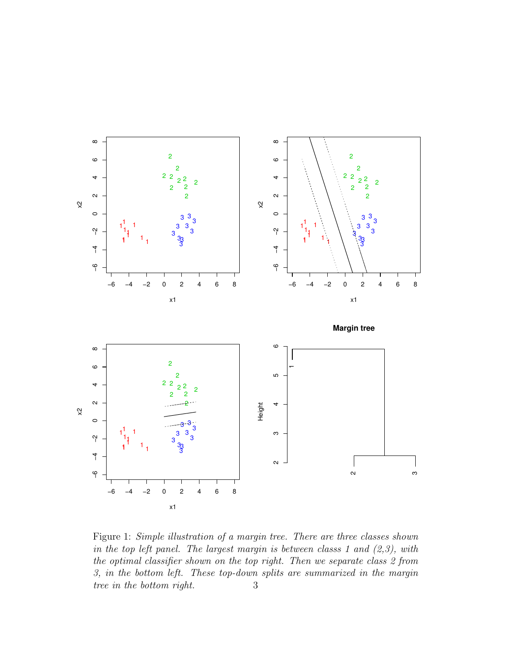

Figure 1: Simple illustration of a margin tree. There are three classes shown in the top left panel. The largest margin is between classs 1 and  $(2,3)$ , with the optimal classifier shown on the top right. Then we separate class 2 from 3, in the bottom left. These top-down splits are summarized in the margin tree in the bottom right. 3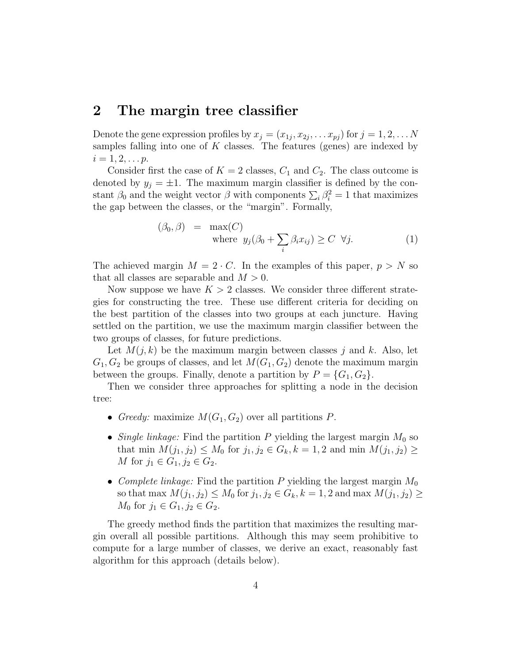## 2 The margin tree classifier

Denote the gene expression profiles by  $x_j = (x_{1j}, x_{2j}, \ldots x_{pj})$  for  $j = 1, 2, \ldots N$ samples falling into one of  $K$  classes. The features (genes) are indexed by  $i = 1, 2, \ldots p$ .

Consider first the case of  $K = 2$  classes,  $C_1$  and  $C_2$ . The class outcome is denoted by  $y_j = \pm 1$ . The maximum margin classifier is defined by the constant  $\beta_0$  and the weight vector  $\beta$  with components  $\sum_i \beta_i^2 = 1$  that maximizes the gap between the classes, or the "margin". Formally,

$$
(\beta_0, \beta) = \max(C)
$$
  
where  $y_j(\beta_0 + \sum_i \beta_i x_{ij}) \ge C \ \forall j.$  (1)

The achieved margin  $M = 2 \cdot C$ . In the examples of this paper,  $p > N$  so that all classes are separable and  $M > 0$ .

Now suppose we have  $K > 2$  classes. We consider three different strategies for constructing the tree. These use different criteria for deciding on the best partition of the classes into two groups at each juncture. Having settled on the partition, we use the maximum margin classifier between the two groups of classes, for future predictions.

Let  $M(j, k)$  be the maximum margin between classes j and k. Also, let  $G_1, G_2$  be groups of classes, and let  $M(G_1, G_2)$  denote the maximum margin between the groups. Finally, denote a partition by  $P = \{G_1, G_2\}.$ 

Then we consider three approaches for splitting a node in the decision tree:

- Greedy: maximize  $M(G_1, G_2)$  over all partitions P.
- Single linkage: Find the partition P yielding the largest margin  $M_0$  so that min  $M(j_1, j_2) \leq M_0$  for  $j_1, j_2 \in G_k, k = 1, 2$  and min  $M(j_1, j_2) \geq$ *M* for  $j_1 \in G_1, j_2 \in G_2$ .
- Complete linkage: Find the partition P yielding the largest margin  $M_0$ so that max  $M(j_1, j_2) \leq M_0$  for  $j_1, j_2 \in G_k, k = 1, 2$  and max  $M(j_1, j_2) \geq$  $M_0$  for  $j_1 \in G_1, j_2 \in G_2$ .

The greedy method finds the partition that maximizes the resulting margin overall all possible partitions. Although this may seem prohibitive to compute for a large number of classes, we derive an exact, reasonably fast algorithm for this approach (details below).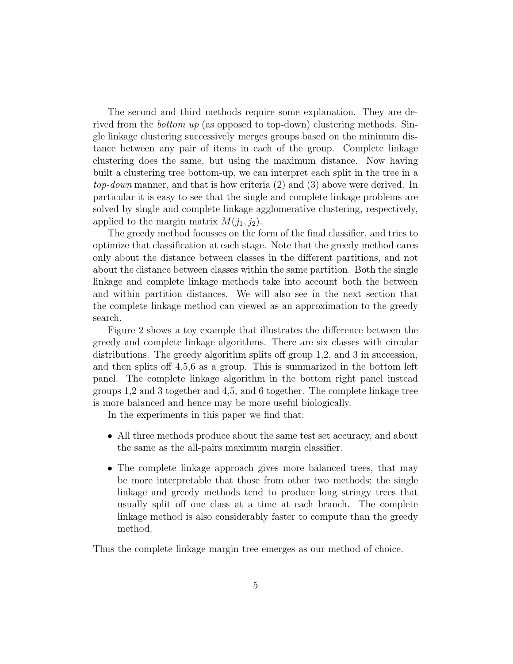The second and third methods require some explanation. They are derived from the *bottom up* (as opposed to top-down) clustering methods. Single linkage clustering successively merges groups based on the minimum distance between any pair of items in each of the group. Complete linkage clustering does the same, but using the maximum distance. Now having built a clustering tree bottom-up, we can interpret each split in the tree in a top-down manner, and that is how criteria (2) and (3) above were derived. In particular it is easy to see that the single and complete linkage problems are solved by single and complete linkage agglomerative clustering, respectively, applied to the margin matrix  $M(j_1, j_2)$ .

The greedy method focusses on the form of the final classifier, and tries to optimize that classification at each stage. Note that the greedy method cares only about the distance between classes in the different partitions, and not about the distance between classes within the same partition. Both the single linkage and complete linkage methods take into account both the between and within partition distances. We will also see in the next section that the complete linkage method can viewed as an approximation to the greedy search.

Figure 2 shows a toy example that illustrates the difference between the greedy and complete linkage algorithms. There are six classes with circular distributions. The greedy algorithm splits off group 1,2, and 3 in succession, and then splits off 4,5,6 as a group. This is summarized in the bottom left panel. The complete linkage algorithm in the bottom right panel instead groups 1,2 and 3 together and 4,5, and 6 together. The complete linkage tree is more balanced and hence may be more useful biologically.

In the experiments in this paper we find that:

- All three methods produce about the same test set accuracy, and about the same as the all-pairs maximum margin classifier.
- The complete linkage approach gives more balanced trees, that may be more interpretable that those from other two methods; the single linkage and greedy methods tend to produce long stringy trees that usually split off one class at a time at each branch. The complete linkage method is also considerably faster to compute than the greedy method.

Thus the complete linkage margin tree emerges as our method of choice.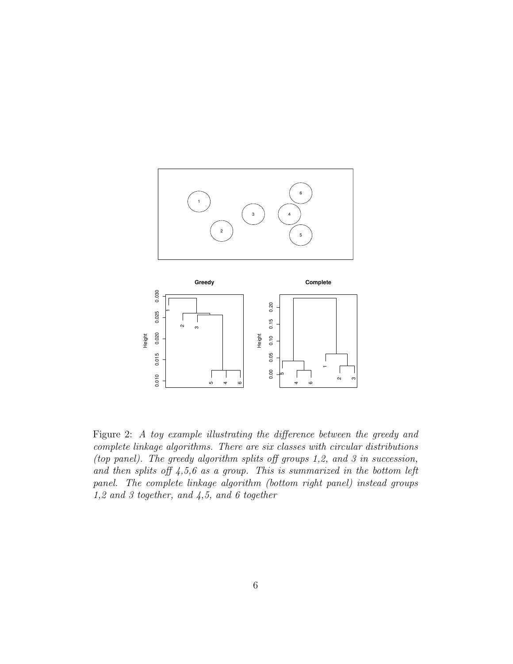



Figure 2: A toy example illustrating the difference between the greedy and complete linkage algorithms. There are six classes with circular distributions (top panel). The greedy algorithm splits off groups 1,2, and 3 in succession, and then splits off  $4,5,6$  as a group. This is summarized in the bottom left panel. The complete linkage algorithm (bottom right panel) instead groups 1,2 and 3 together, and 4,5, and 6 together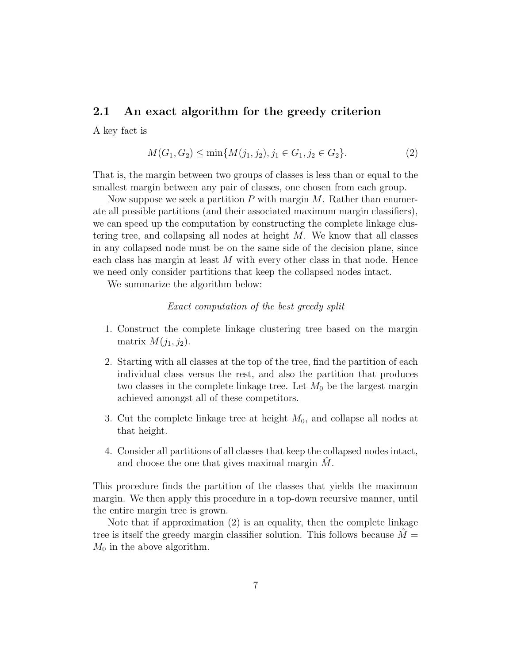### 2.1 An exact algorithm for the greedy criterion

A key fact is

$$
M(G_1, G_2) \le \min\{M(j_1, j_2), j_1 \in G_1, j_2 \in G_2\}.
$$
\n<sup>(2)</sup>

That is, the margin between two groups of classes is less than or equal to the smallest margin between any pair of classes, one chosen from each group.

Now suppose we seek a partition  $P$  with margin  $M$ . Rather than enumerate all possible partitions (and their associated maximum margin classifiers), we can speed up the computation by constructing the complete linkage clustering tree, and collapsing all nodes at height M. We know that all classes in any collapsed node must be on the same side of the decision plane, since each class has margin at least  $M$  with every other class in that node. Hence we need only consider partitions that keep the collapsed nodes intact.

We summarize the algorithm below:

#### Exact computation of the best greedy split

- 1. Construct the complete linkage clustering tree based on the margin matrix  $M(j_1, j_2)$ .
- 2. Starting with all classes at the top of the tree, find the partition of each individual class versus the rest, and also the partition that produces two classes in the complete linkage tree. Let  $M_0$  be the largest margin achieved amongst all of these competitors.
- 3. Cut the complete linkage tree at height  $M_0$ , and collapse all nodes at that height.
- 4. Consider all partitions of all classes that keep the collapsed nodes intact, and choose the one that gives maximal margin  $M$ .

This procedure finds the partition of the classes that yields the maximum margin. We then apply this procedure in a top-down recursive manner, until the entire margin tree is grown.

Note that if approximation (2) is an equality, then the complete linkage tree is itself the greedy margin classifier solution. This follows because  $\tilde{M} =$  $M_0$  in the above algorithm.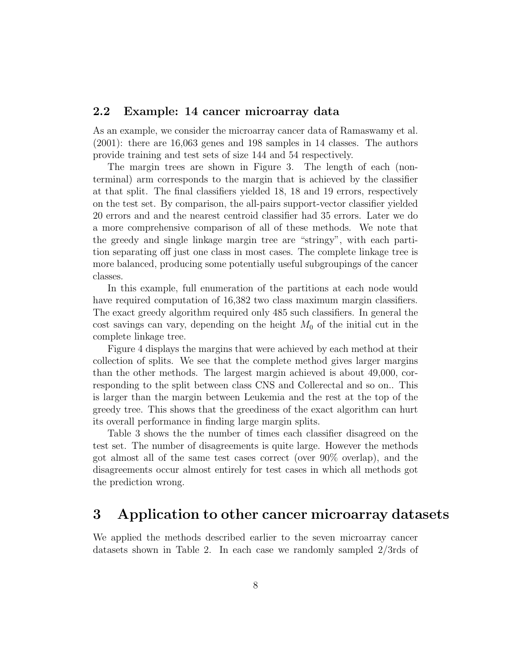#### 2.2 Example: 14 cancer microarray data

As an example, we consider the microarray cancer data of Ramaswamy et al. (2001): there are 16,063 genes and 198 samples in 14 classes. The authors provide training and test sets of size 144 and 54 respectively.

The margin trees are shown in Figure 3. The length of each (nonterminal) arm corresponds to the margin that is achieved by the classifier at that split. The final classifiers yielded 18, 18 and 19 errors, respectively on the test set. By comparison, the all-pairs support-vector classifier yielded 20 errors and and the nearest centroid classifier had 35 errors. Later we do a more comprehensive comparison of all of these methods. We note that the greedy and single linkage margin tree are "stringy", with each partition separating off just one class in most cases. The complete linkage tree is more balanced, producing some potentially useful subgroupings of the cancer classes.

In this example, full enumeration of the partitions at each node would have required computation of 16,382 two class maximum margin classifiers. The exact greedy algorithm required only 485 such classifiers. In general the cost savings can vary, depending on the height  $M_0$  of the initial cut in the complete linkage tree.

Figure 4 displays the margins that were achieved by each method at their collection of splits. We see that the complete method gives larger margins than the other methods. The largest margin achieved is about 49,000, corresponding to the split between class CNS and Collerectal and so on.. This is larger than the margin between Leukemia and the rest at the top of the greedy tree. This shows that the greediness of the exact algorithm can hurt its overall performance in finding large margin splits.

Table 3 shows the the number of times each classifier disagreed on the test set. The number of disagreements is quite large. However the methods got almost all of the same test cases correct (over 90% overlap), and the disagreements occur almost entirely for test cases in which all methods got the prediction wrong.

# 3 Application to other cancer microarray datasets

We applied the methods described earlier to the seven microarray cancer datasets shown in Table 2. In each case we randomly sampled 2/3rds of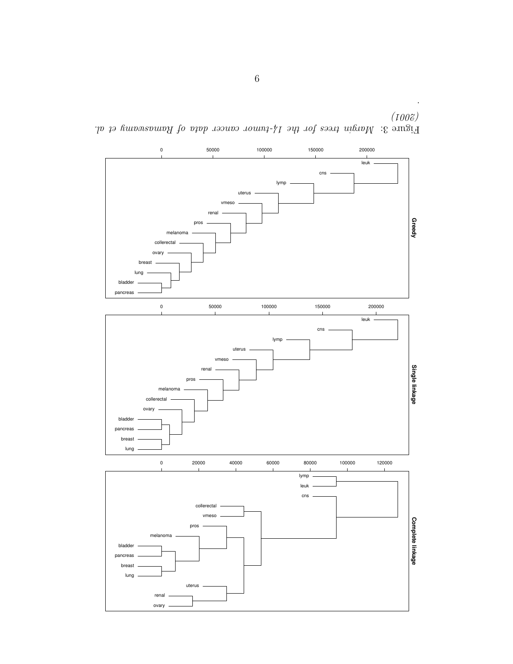

Figure 3: Margin trees for the 14-tumor cancer data by Ramaswamy et al.  $(100\%)$ 

.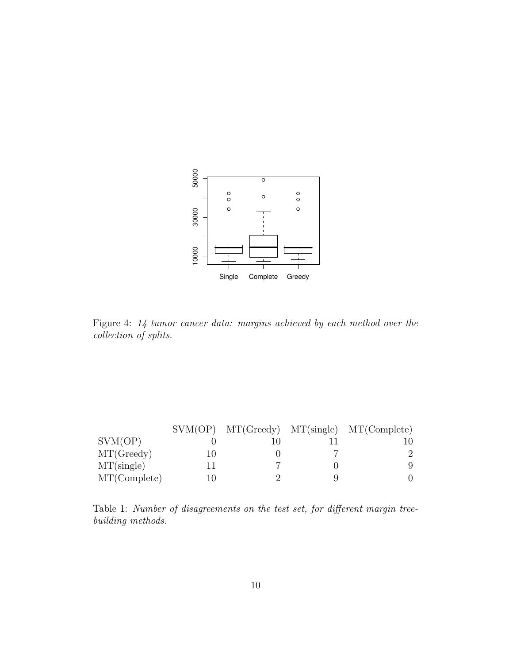

Figure 4: 14 tumor cancer data: margins achieved by each method over the collection of splits.

|              |  | $SVM(OP)$ $MT(Greedy)$ $MT(single)$ $MT(Complete)$ |
|--------------|--|----------------------------------------------------|
| SVM(OP)      |  |                                                    |
| MT(Greedy)   |  |                                                    |
| MT(single)   |  |                                                    |
| MT(Complete) |  |                                                    |

Table 1: Number of disagreements on the test set, for different margin treebuilding methods.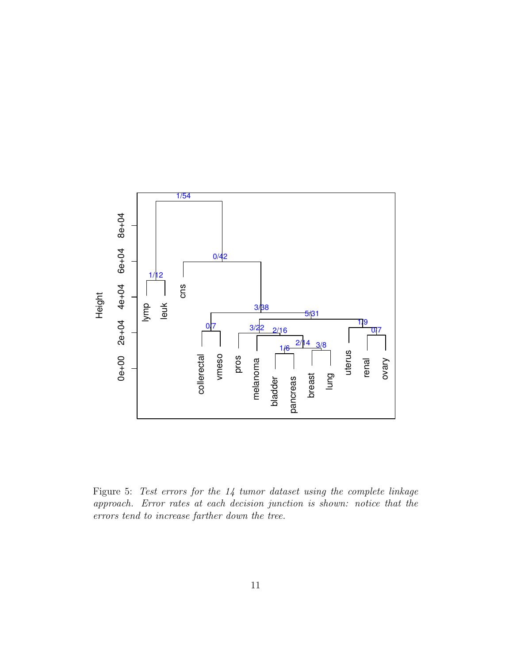

Figure 5: Test errors for the 14 tumor dataset using the complete linkage approach. Error rates at each decision junction is shown: notice that the errors tend to increase farther down the tree.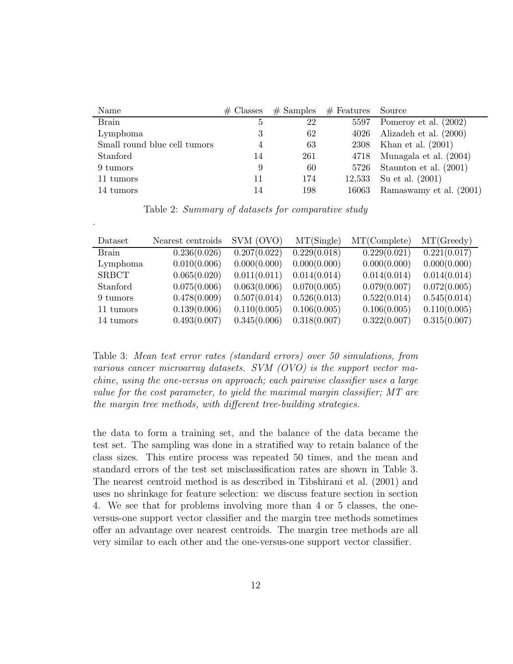| Name                         | $#$ Classes    | $#$ Samples | $#$ Features Source |                                 |
|------------------------------|----------------|-------------|---------------------|---------------------------------|
| <b>Brain</b>                 | $\mathfrak{h}$ | 22          | 5597                | Pomeroy et al. (2002)           |
| Lymphoma                     |                | 62          |                     | $4026$ Alizadeh et al. $(2000)$ |
| Small round blue cell tumors | 4              | 63          |                     | 2308 Khan et al. $(2001)$       |
| Stanford                     | 14             | 261         | 4718                | Munagala et al. (2004)          |
| 9 tumors                     | 9              | 60          |                     | 5726 Staunton et al. $(2001)$   |
| 11 tumors                    | 11             | 174         |                     | 12,533 Su et al. $(2001)$       |
| 14 tumors                    |                | 198         | 16063               | Ramaswamy et al. (2001)         |

Table 2: Summary of datasets for comparative study

.

| Dataset      | Nearest centroids | SVM (OVO)    | MT(Single)   | MT(Complete) | MT(Greedy)   |
|--------------|-------------------|--------------|--------------|--------------|--------------|
| Brain        | 0.236(0.026)      | 0.207(0.022) | 0.229(0.018) | 0.229(0.021) | 0.221(0.017) |
| Lymphoma     | 0.010(0.006)      | 0.000(0.000) | 0.000(0.000) | 0.000(0.000) | 0.000(0.000) |
| <b>SRBCT</b> | 0.065(0.020)      | 0.011(0.011) | 0.014(0.014) | 0.014(0.014) | 0.014(0.014) |
| Stanford     | 0.075(0.006)      | 0.063(0.006) | 0.070(0.005) | 0.079(0.007) | 0.072(0.005) |
| 9 tumors     | 0.478(0.009)      | 0.507(0.014) | 0.526(0.013) | 0.522(0.014) | 0.545(0.014) |
| 11 tumors    | 0.139(0.006)      | 0.110(0.005) | 0.106(0.005) | 0.106(0.005) | 0.110(0.005) |
| 14 tumors    | 0.493(0.007)      | 0.345(0.006) | 0.318(0.007) | 0.322(0.007) | 0.315(0.007) |
|              |                   |              |              |              |              |

Table 3: Mean test error rates (standard errors) over 50 simulations, from various cancer microarray datasets. SVM  $(OVO)$  is the support vector machine, using the one-versus on approach; each pairwise classifier uses a large value for the cost parameter, to yield the maximal margin classifier; MT are the margin tree methods, with different tree-building strategies.

the data to form a training set, and the balance of the data became the test set. The sampling was done in a stratified way to retain balance of the class sizes. This entire process was repeated 50 times, and the mean and standard errors of the test set misclassification rates are shown in Table 3. The nearest centroid method is as described in Tibshirani et al. (2001) and uses no shrinkage for feature selection: we discuss feature section in section 4. We see that for problems involving more than 4 or 5 classes, the oneversus-one support vector classifier and the margin tree methods sometimes offer an advantage over nearest centroids. The margin tree methods are all very similar to each other and the one-versus-one support vector classifier.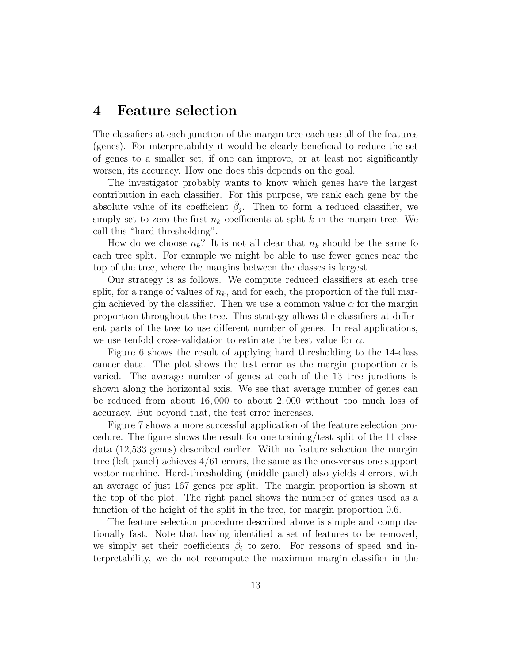## 4 Feature selection

The classifiers at each junction of the margin tree each use all of the features (genes). For interpretability it would be clearly beneficial to reduce the set of genes to a smaller set, if one can improve, or at least not significantly worsen, its accuracy. How one does this depends on the goal.

The investigator probably wants to know which genes have the largest contribution in each classifier. For this purpose, we rank each gene by the absolute value of its coefficient  $\hat{\beta}_j$ . Then to form a reduced classifier, we simply set to zero the first  $n_k$  coefficients at split k in the margin tree. We call this "hard-thresholding".

How do we choose  $n_k$ ? It is not all clear that  $n_k$  should be the same for each tree split. For example we might be able to use fewer genes near the top of the tree, where the margins between the classes is largest.

Our strategy is as follows. We compute reduced classifiers at each tree split, for a range of values of  $n_k$ , and for each, the proportion of the full margin achieved by the classifier. Then we use a common value  $\alpha$  for the margin proportion throughout the tree. This strategy allows the classifiers at different parts of the tree to use different number of genes. In real applications, we use tenfold cross-validation to estimate the best value for  $\alpha$ .

Figure 6 shows the result of applying hard thresholding to the 14-class cancer data. The plot shows the test error as the margin proportion  $\alpha$  is varied. The average number of genes at each of the 13 tree junctions is shown along the horizontal axis. We see that average number of genes can be reduced from about 16, 000 to about 2, 000 without too much loss of accuracy. But beyond that, the test error increases.

Figure 7 shows a more successful application of the feature selection procedure. The figure shows the result for one training/test split of the 11 class data (12,533 genes) described earlier. With no feature selection the margin tree (left panel) achieves 4/61 errors, the same as the one-versus one support vector machine. Hard-thresholding (middle panel) also yields 4 errors, with an average of just 167 genes per split. The margin proportion is shown at the top of the plot. The right panel shows the number of genes used as a function of the height of the split in the tree, for margin proportion 0.6.

The feature selection procedure described above is simple and computationally fast. Note that having identified a set of features to be removed, we simply set their coefficients  $\hat{\beta}_i$  to zero. For reasons of speed and interpretability, we do not recompute the maximum margin classifier in the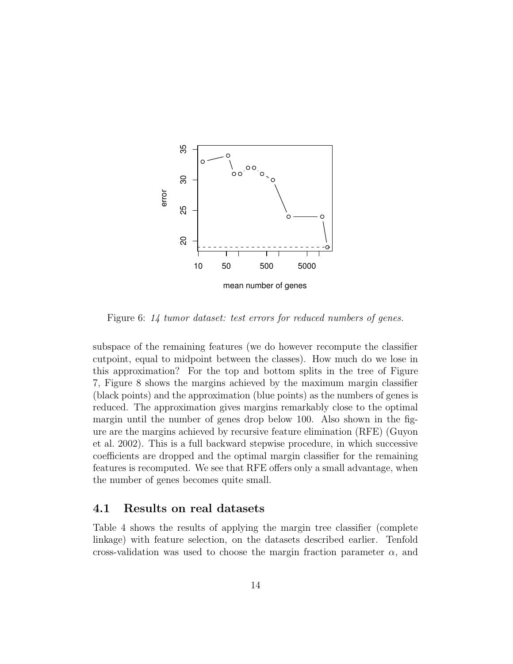

Figure 6: 14 tumor dataset: test errors for reduced numbers of genes.

subspace of the remaining features (we do however recompute the classifier cutpoint, equal to midpoint between the classes). How much do we lose in this approximation? For the top and bottom splits in the tree of Figure 7, Figure 8 shows the margins achieved by the maximum margin classifier (black points) and the approximation (blue points) as the numbers of genes is reduced. The approximation gives margins remarkably close to the optimal margin until the number of genes drop below 100. Also shown in the figure are the margins achieved by recursive feature elimination (RFE) (Guyon et al. 2002). This is a full backward stepwise procedure, in which successive coefficients are dropped and the optimal margin classifier for the remaining features is recomputed. We see that RFE offers only a small advantage, when the number of genes becomes quite small.

#### 4.1 Results on real datasets

Table 4 shows the results of applying the margin tree classifier (complete linkage) with feature selection, on the datasets described earlier. Tenfold cross-validation was used to choose the margin fraction parameter  $\alpha$ , and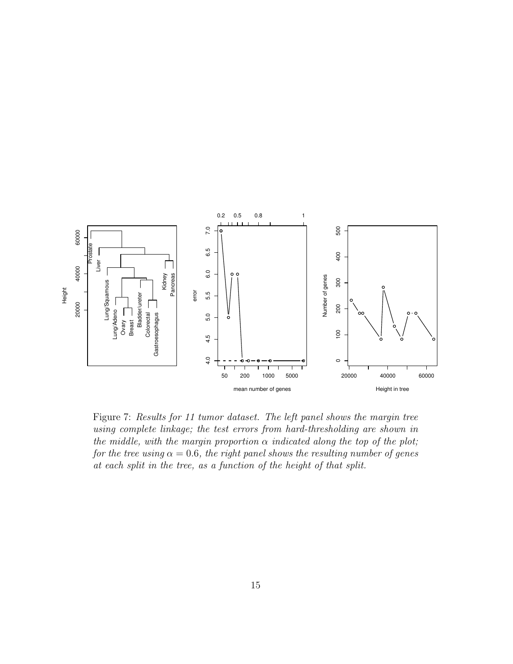

Figure 7: Results for 11 tumor dataset. The left panel shows the margin tree using complete linkage; the test errors from hard-thresholding are shown in the middle, with the margin proportion  $\alpha$  indicated along the top of the plot; for the tree using  $\alpha = 0.6$ , the right panel shows the resulting number of genes at each split in the tree, as a function of the height of that split.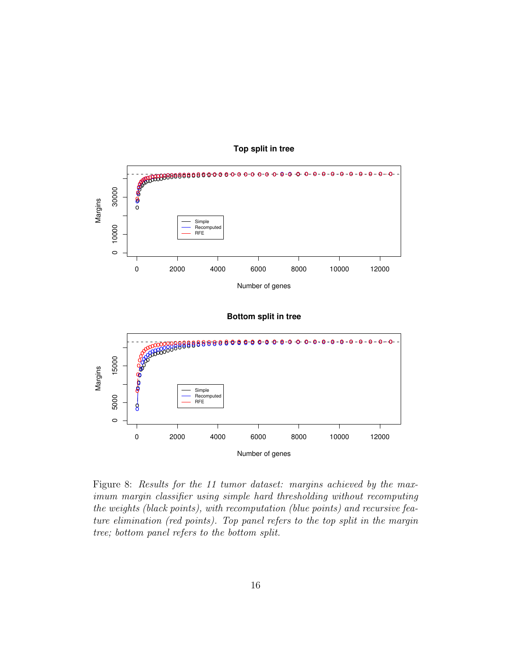

#### **Top split in tree**



#### **Bottom split in tree**

Figure 8: Results for the 11 tumor dataset: margins achieved by the maximum margin classifier using simple hard thresholding without recomputing the weights (black points), with recomputation (blue points) and recursive feature elimination (red points). Top panel refers to the top split in the margin tree; bottom panel refers to the bottom split.

0 2000 4000 6000 8000 10000 12000

Number of genes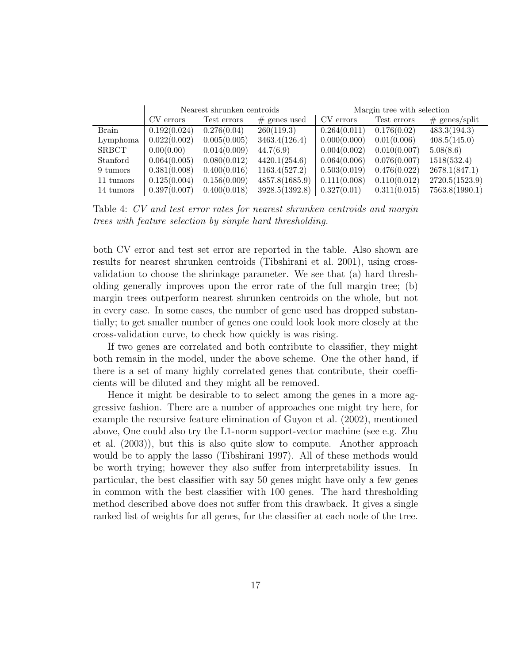|              | Nearest shrunken centroids |              |                | Margin tree with selection |              |                 |
|--------------|----------------------------|--------------|----------------|----------------------------|--------------|-----------------|
|              | CV errors                  | Test errors  | $#$ genes used | CV errors                  | Test errors  | $#$ genes/split |
| <b>Brain</b> | 0.192(0.024)               | 0.276(0.04)  | 260(119.3)     | 0.264(0.011)               | 0.176(0.02)  | 483.3(194.3)    |
| Lymphoma     | 0.022(0.002)               | 0.005(0.005) | 3463.4(126.4)  | 0.000(0.000)               | 0.01(0.006)  | 408.5(145.0)    |
| <b>SRBCT</b> | 0.00(0.00)                 | 0.014(0.009) | 44.7(6.9)      | 0.004(0.002)               | 0.010(0.007) | 5.08(8.6)       |
| Stanford     | 0.064(0.005)               | 0.080(0.012) | 4420.1(254.6)  | 0.064(0.006)               | 0.076(0.007) | 1518(532.4)     |
| 9 tumors     | 0.381(0.008)               | 0.400(0.016) | 1163.4(527.2)  | 0.503(0.019)               | 0.476(0.022) | 2678.1(847.1)   |
| 11 tumors    | 0.125(0.004)               | 0.156(0.009) | 4857.8(1685.9) | 0.111(0.008)               | 0.110(0.012) | 2720.5(1523.9)  |
| 14 tumors    | 0.397(0.007)               | 0.400(0.018) | 3928.5(1392.8) | 0.327(0.01)                | 0.311(0.015) | 7563.8(1990.1)  |

Table 4: CV and test error rates for nearest shrunken centroids and margin trees with feature selection by simple hard thresholding.

both CV error and test set error are reported in the table. Also shown are results for nearest shrunken centroids (Tibshirani et al. 2001), using crossvalidation to choose the shrinkage parameter. We see that (a) hard thresholding generally improves upon the error rate of the full margin tree; (b) margin trees outperform nearest shrunken centroids on the whole, but not in every case. In some cases, the number of gene used has dropped substantially; to get smaller number of genes one could look look more closely at the cross-validation curve, to check how quickly is was rising.

If two genes are correlated and both contribute to classifier, they might both remain in the model, under the above scheme. One the other hand, if there is a set of many highly correlated genes that contribute, their coefficients will be diluted and they might all be removed.

Hence it might be desirable to to select among the genes in a more aggressive fashion. There are a number of approaches one might try here, for example the recursive feature elimination of Guyon et al. (2002), mentioned above, One could also try the L1-norm support-vector machine (see e.g. Zhu et al. (2003)), but this is also quite slow to compute. Another approach would be to apply the lasso (Tibshirani 1997). All of these methods would be worth trying; however they also suffer from interpretability issues. In particular, the best classifier with say 50 genes might have only a few genes in common with the best classifier with 100 genes. The hard thresholding method described above does not suffer from this drawback. It gives a single ranked list of weights for all genes, for the classifier at each node of the tree.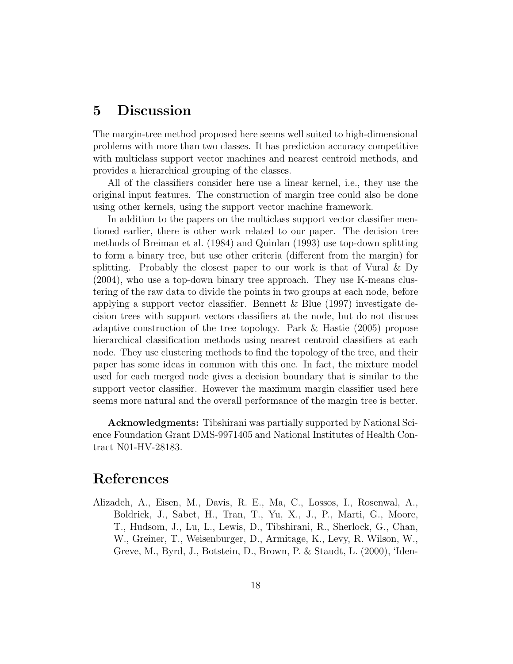## 5 Discussion

The margin-tree method proposed here seems well suited to high-dimensional problems with more than two classes. It has prediction accuracy competitive with multiclass support vector machines and nearest centroid methods, and provides a hierarchical grouping of the classes.

All of the classifiers consider here use a linear kernel, i.e., they use the original input features. The construction of margin tree could also be done using other kernels, using the support vector machine framework.

In addition to the papers on the multiclass support vector classifier mentioned earlier, there is other work related to our paper. The decision tree methods of Breiman et al. (1984) and Quinlan (1993) use top-down splitting to form a binary tree, but use other criteria (different from the margin) for splitting. Probably the closest paper to our work is that of Vural  $\&$  Dy (2004), who use a top-down binary tree approach. They use K-means clustering of the raw data to divide the points in two groups at each node, before applying a support vector classifier. Bennett & Blue (1997) investigate decision trees with support vectors classifiers at the node, but do not discuss adaptive construction of the tree topology. Park & Hastie (2005) propose hierarchical classification methods using nearest centroid classifiers at each node. They use clustering methods to find the topology of the tree, and their paper has some ideas in common with this one. In fact, the mixture model used for each merged node gives a decision boundary that is similar to the support vector classifier. However the maximum margin classifier used here seems more natural and the overall performance of the margin tree is better.

Acknowledgments: Tibshirani was partially supported by National Science Foundation Grant DMS-9971405 and National Institutes of Health Contract N01-HV-28183.

# References

Alizadeh, A., Eisen, M., Davis, R. E., Ma, C., Lossos, I., Rosenwal, A., Boldrick, J., Sabet, H., Tran, T., Yu, X., J., P., Marti, G., Moore, T., Hudsom, J., Lu, L., Lewis, D., Tibshirani, R., Sherlock, G., Chan, W., Greiner, T., Weisenburger, D., Armitage, K., Levy, R. Wilson, W., Greve, M., Byrd, J., Botstein, D., Brown, P. & Staudt, L. (2000), 'Iden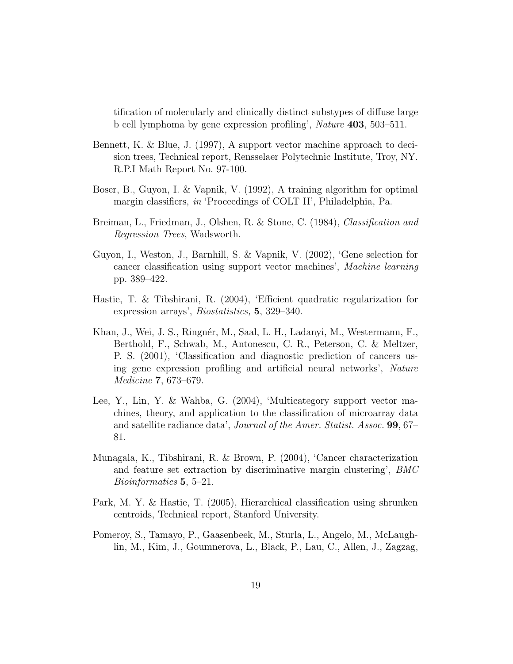tification of molecularly and clinically distinct substypes of diffuse large b cell lymphoma by gene expression profiling', Nature 403, 503–511.

- Bennett, K. & Blue, J. (1997), A support vector machine approach to decision trees, Technical report, Rensselaer Polytechnic Institute, Troy, NY. R.P.I Math Report No. 97-100.
- Boser, B., Guyon, I. & Vapnik, V. (1992), A training algorithm for optimal margin classifiers, in 'Proceedings of COLT II', Philadelphia, Pa.
- Breiman, L., Friedman, J., Olshen, R. & Stone, C. (1984), Classification and Regression Trees, Wadsworth.
- Guyon, I., Weston, J., Barnhill, S. & Vapnik, V. (2002), 'Gene selection for cancer classification using support vector machines', Machine learning pp. 389–422.
- Hastie, T. & Tibshirani, R. (2004), 'Efficient quadratic regularization for expression arrays', Biostatistics, 5, 329–340.
- Khan, J., Wei, J. S., Ringnér, M., Saal, L. H., Ladanyi, M., Westermann, F., Berthold, F., Schwab, M., Antonescu, C. R., Peterson, C. & Meltzer, P. S. (2001), 'Classification and diagnostic prediction of cancers using gene expression profiling and artificial neural networks', Nature Medicine 7, 673–679.
- Lee, Y., Lin, Y. & Wahba, G. (2004), 'Multicategory support vector machines, theory, and application to the classification of microarray data and satellite radiance data', Journal of the Amer. Statist. Assoc. 99, 67– 81.
- Munagala, K., Tibshirani, R. & Brown, P. (2004), 'Cancer characterization and feature set extraction by discriminative margin clustering', BMC Bioinformatics 5, 5–21.
- Park, M. Y. & Hastie, T. (2005), Hierarchical classification using shrunken centroids, Technical report, Stanford University.
- Pomeroy, S., Tamayo, P., Gaasenbeek, M., Sturla, L., Angelo, M., McLaughlin, M., Kim, J., Goumnerova, L., Black, P., Lau, C., Allen, J., Zagzag,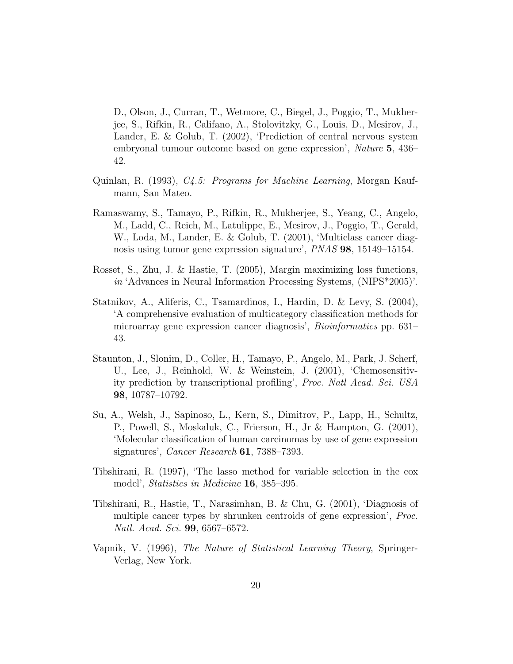D., Olson, J., Curran, T., Wetmore, C., Biegel, J., Poggio, T., Mukherjee, S., Rifkin, R., Califano, A., Stolovitzky, G., Louis, D., Mesirov, J., Lander, E. & Golub, T. (2002), 'Prediction of central nervous system embryonal tumour outcome based on gene expression', Nature 5, 436– 42.

- Quinlan, R. (1993), C4.5: Programs for Machine Learning, Morgan Kaufmann, San Mateo.
- Ramaswamy, S., Tamayo, P., Rifkin, R., Mukherjee, S., Yeang, C., Angelo, M., Ladd, C., Reich, M., Latulippe, E., Mesirov, J., Poggio, T., Gerald, W., Loda, M., Lander, E. & Golub, T. (2001), 'Multiclass cancer diagnosis using tumor gene expression signature', PNAS 98, 15149–15154.
- Rosset, S., Zhu, J. & Hastie, T. (2005), Margin maximizing loss functions, in 'Advances in Neural Information Processing Systems, (NIPS\*2005)'.
- Statnikov, A., Aliferis, C., Tsamardinos, I., Hardin, D. & Levy, S. (2004), 'A comprehensive evaluation of multicategory classification methods for microarray gene expression cancer diagnosis', Bioinformatics pp. 631– 43.
- Staunton, J., Slonim, D., Coller, H., Tamayo, P., Angelo, M., Park, J. Scherf, U., Lee, J., Reinhold, W. & Weinstein, J. (2001), 'Chemosensitivity prediction by transcriptional profiling', Proc. Natl Acad. Sci. USA 98, 10787–10792.
- Su, A., Welsh, J., Sapinoso, L., Kern, S., Dimitrov, P., Lapp, H., Schultz, P., Powell, S., Moskaluk, C., Frierson, H., Jr & Hampton, G. (2001), 'Molecular classification of human carcinomas by use of gene expression signatures', *Cancer Research* **61**, 7388–7393.
- Tibshirani, R. (1997), 'The lasso method for variable selection in the cox model', Statistics in Medicine **16**, 385–395.
- Tibshirani, R., Hastie, T., Narasimhan, B. & Chu, G. (2001), 'Diagnosis of multiple cancer types by shrunken centroids of gene expression', Proc. Natl. Acad. Sci. 99, 6567–6572.
- Vapnik, V. (1996), The Nature of Statistical Learning Theory, Springer-Verlag, New York.